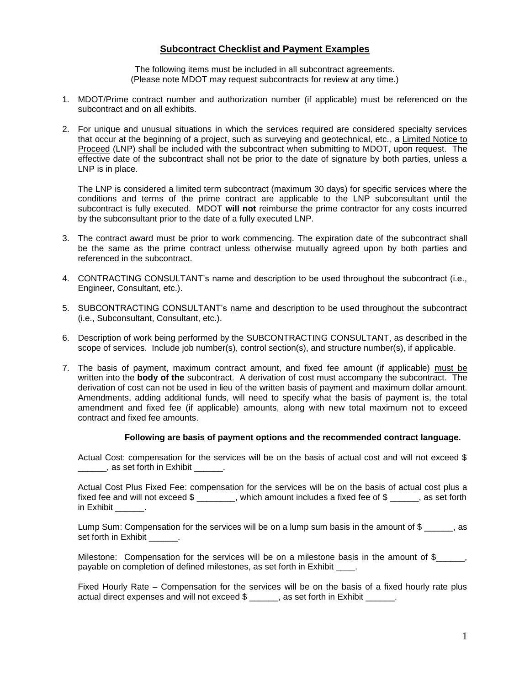## **Subcontract Checklist and Payment Examples**

The following items must be included in all subcontract agreements. (Please note MDOT may request subcontracts for review at any time.)

- 1. MDOT/Prime contract number and authorization number (if applicable) must be referenced on the subcontract and on all exhibits.
- 2. For unique and unusual situations in which the services required are considered specialty services that occur at the beginning of a project, such as surveying and geotechnical, etc., a Limited Notice to Proceed (LNP) shall be included with the subcontract when submitting to MDOT, upon request. The effective date of the subcontract shall not be prior to the date of signature by both parties, unless a LNP is in place.

The LNP is considered a limited term subcontract (maximum 30 days) for specific services where the conditions and terms of the prime contract are applicable to the LNP subconsultant until the subcontract is fully executed. MDOT **will not** reimburse the prime contractor for any costs incurred by the subconsultant prior to the date of a fully executed LNP.

- 3. The contract award must be prior to work commencing. The expiration date of the subcontract shall be the same as the prime contract unless otherwise mutually agreed upon by both parties and referenced in the subcontract.
- 4. CONTRACTING CONSULTANT's name and description to be used throughout the subcontract (i.e., Engineer, Consultant, etc.).
- 5. SUBCONTRACTING CONSULTANT's name and description to be used throughout the subcontract (i.e., Subconsultant, Consultant, etc.).
- 6. Description of work being performed by the SUBCONTRACTING CONSULTANT, as described in the scope of services. Include job number(s), control section(s), and structure number(s), if applicable.
- 7. The basis of payment, maximum contract amount, and fixed fee amount (if applicable) must be written into the **body of the** subcontract. A derivation of cost must accompany the subcontract. The derivation of cost can not be used in lieu of the written basis of payment and maximum dollar amount. Amendments, adding additional funds, will need to specify what the basis of payment is, the total amendment and fixed fee (if applicable) amounts, along with new total maximum not to exceed contract and fixed fee amounts.

## **Following are basis of payment options and the recommended contract language.**

Actual Cost: compensation for the services will be on the basis of actual cost and will not exceed \$ decay as set forth in Exhibit  $\qquad \qquad$ .

Actual Cost Plus Fixed Fee: compensation for the services will be on the basis of actual cost plus a fixed fee and will not exceed \$ \_\_\_\_\_\_, which amount includes a fixed fee of \$ \_\_\_\_, as set forth in Exhibit  $\qquad \qquad$ .

Lump Sum: Compensation for the services will be on a lump sum basis in the amount of \$ , as set forth in Exhibit

Milestone: Compensation for the services will be on a milestone basis in the amount of  $\frac{1}{2}$ , payable on completion of defined milestones, as set forth in Exhibit \_\_\_\_.

Fixed Hourly Rate – Compensation for the services will be on the basis of a fixed hourly rate plus actual direct expenses and will not exceed  $\gamma$  \_\_\_\_\_, as set forth in Exhibit \_\_\_\_\_.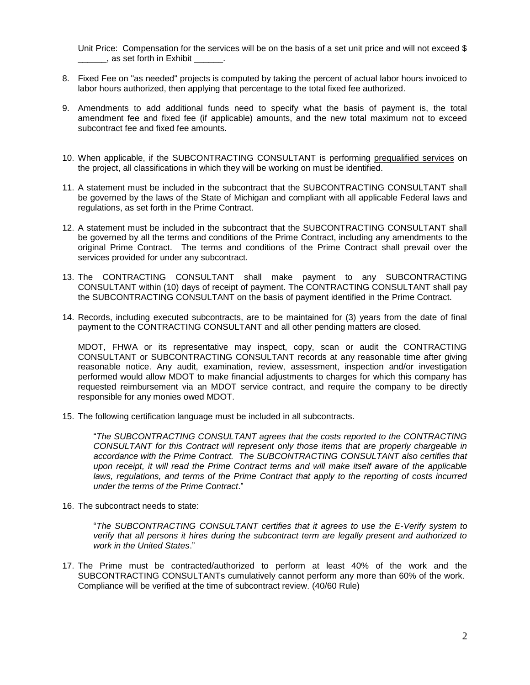Unit Price: Compensation for the services will be on the basis of a set unit price and will not exceed \$ decay as set forth in Exhibit  $\qquad \qquad$ .

- 8. Fixed Fee on "as needed" projects is computed by taking the percent of actual labor hours invoiced to labor hours authorized, then applying that percentage to the total fixed fee authorized.
- 9. Amendments to add additional funds need to specify what the basis of payment is, the total amendment fee and fixed fee (if applicable) amounts, and the new total maximum not to exceed subcontract fee and fixed fee amounts.
- 10. When applicable, if the SUBCONTRACTING CONSULTANT is performing prequalified services on the project, all classifications in which they will be working on must be identified.
- 11. A statement must be included in the subcontract that the SUBCONTRACTING CONSULTANT shall be governed by the laws of the State of Michigan and compliant with all applicable Federal laws and regulations, as set forth in the Prime Contract.
- 12. A statement must be included in the subcontract that the SUBCONTRACTING CONSULTANT shall be governed by all the terms and conditions of the Prime Contract, including any amendments to the original Prime Contract. The terms and conditions of the Prime Contract shall prevail over the services provided for under any subcontract.
- 13. The CONTRACTING CONSULTANT shall make payment to any SUBCONTRACTING CONSULTANT within (10) days of receipt of payment. The CONTRACTING CONSULTANT shall pay the SUBCONTRACTING CONSULTANT on the basis of payment identified in the Prime Contract.
- 14. Records, including executed subcontracts, are to be maintained for (3) years from the date of final payment to the CONTRACTING CONSULTANT and all other pending matters are closed.

MDOT, FHWA or its representative may inspect, copy, scan or audit the CONTRACTING CONSULTANT or SUBCONTRACTING CONSULTANT records at any reasonable time after giving reasonable notice. Any audit, examination, review, assessment, inspection and/or investigation performed would allow MDOT to make financial adjustments to charges for which this company has requested reimbursement via an MDOT service contract, and require the company to be directly responsible for any monies owed MDOT.

15. The following certification language must be included in all subcontracts.

"*The SUBCONTRACTING CONSULTANT agrees that the costs reported to the CONTRACTING CONSULTANT for this Contract will represent only those items that are properly chargeable in*  accordance with the Prime Contract. The SUBCONTRACTING CONSULTANT also certifies that upon receipt, it will read the Prime Contract terms and will make itself aware of the applicable *laws, regulations, and terms of the Prime Contract that apply to the reporting of costs incurred under the terms of the Prime Contract*."

16. The subcontract needs to state:

"*The SUBCONTRACTING CONSULTANT certifies that it agrees to use the E-Verify system to verify that all persons it hires during the subcontract term are legally present and authorized to work in the United States*."

17. The Prime must be contracted/authorized to perform at least 40% of the work and the SUBCONTRACTING CONSULTANTs cumulatively cannot perform any more than 60% of the work. Compliance will be verified at the time of subcontract review. (40/60 Rule)